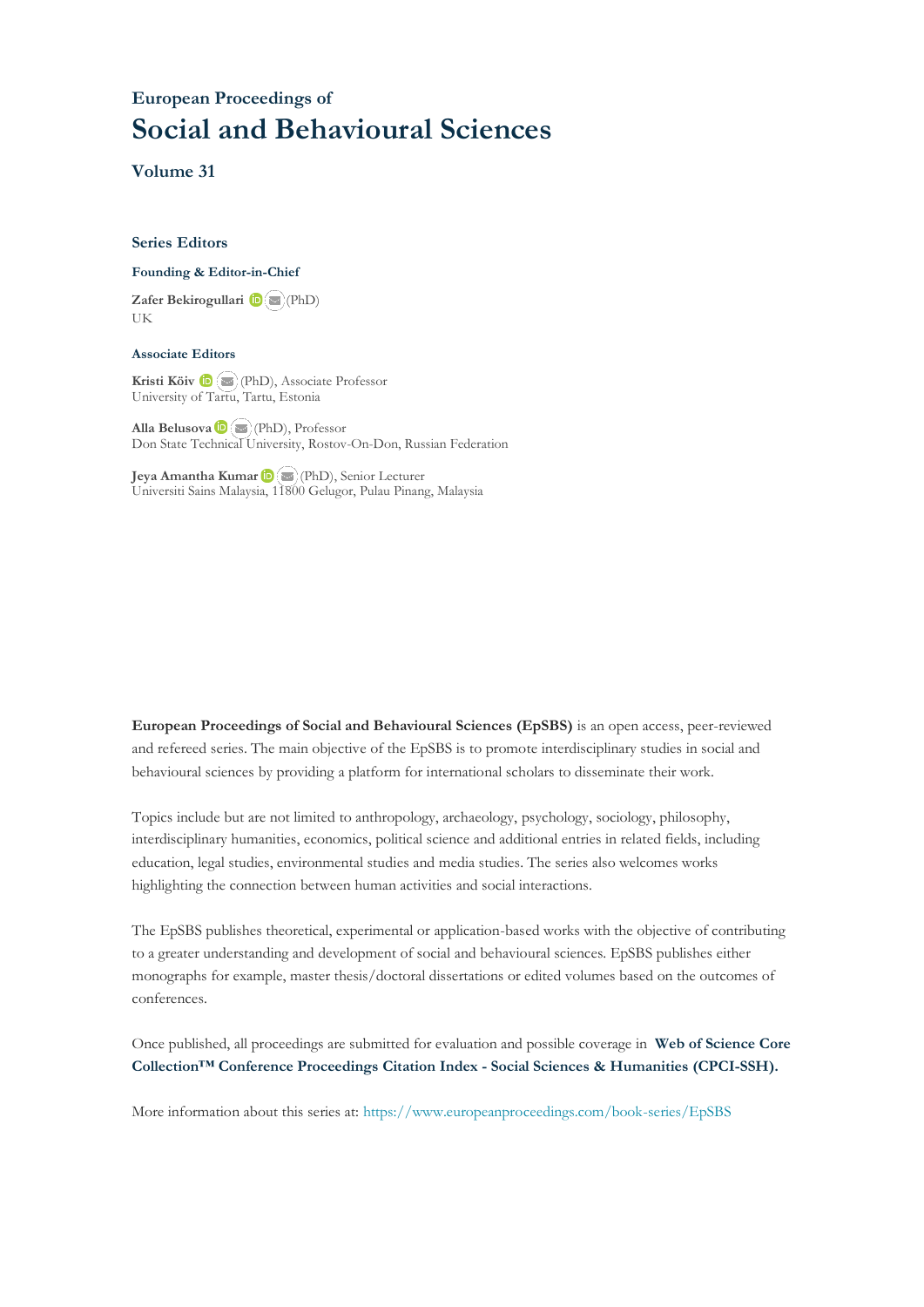### **European Proceedings of Social and Behavioural Sciences**

**Volume 31**

#### **Series Editors**

#### **Founding & Editor-in-Chief**

**Zafer Bekirogullari**(PhD) UK

#### **Associate Editors**

**Kristi Köiv** (PhD), Associate Professor University of Tartu, Tartu, Estonia

**Alla Belusova**(PhD), Professor Don State Technical University, Rostov-On-Don, Russian Federation

**Jeya Amantha Kumar**(PhD), Senior Lecturer Universiti Sains Malaysia, [1180](mailto:amantha@usm.my)0 Gelugor, Pulau Pinang, Malaysia

**European Proceedings of Social and Behavioural Sciences (EpSBS)** is an open access, peer-reviewed and refereed series. The main objective of the EpSBS is to promote interdisciplinary studies in social and behavioural sciences by providing a platform for international scholars to disseminate their work.

Topics include but are not limited to anthropology, archaeology, psychology, sociology, philosophy, interdisciplinary humanities, economics, political science and additional entries in related fields, including education, legal studies, environmental studies and media studies. The series also welcomes works highlighting the connection between human activities and social interactions.

The EpSBS publishes theoretical, experimental or application-based works with the objective of contributing to a greater understanding and development of social and behavioural sciences. EpSBS publishes either monographs for example, master thesis/doctoral dissertations or edited volumes based on the outcomes of conferences.

Once published, all proceedings are submitted for evaluation and possible coverage in **Web of [Science](https://clarivate.com/webofsciencegroup/solutions/webofscience-cpci/) Core Collection™ Conference Proceedings Citation Index - Social Sciences & Humanities [\(CPCI-SSH\).](https://clarivate.com/webofsciencegroup/solutions/webofscience-cpci/)**

More information about this series at[: https://www.europeanproceedings.com/book-series/EpSBS](https://www.europeanproceedings.com/book-series/EpSBS)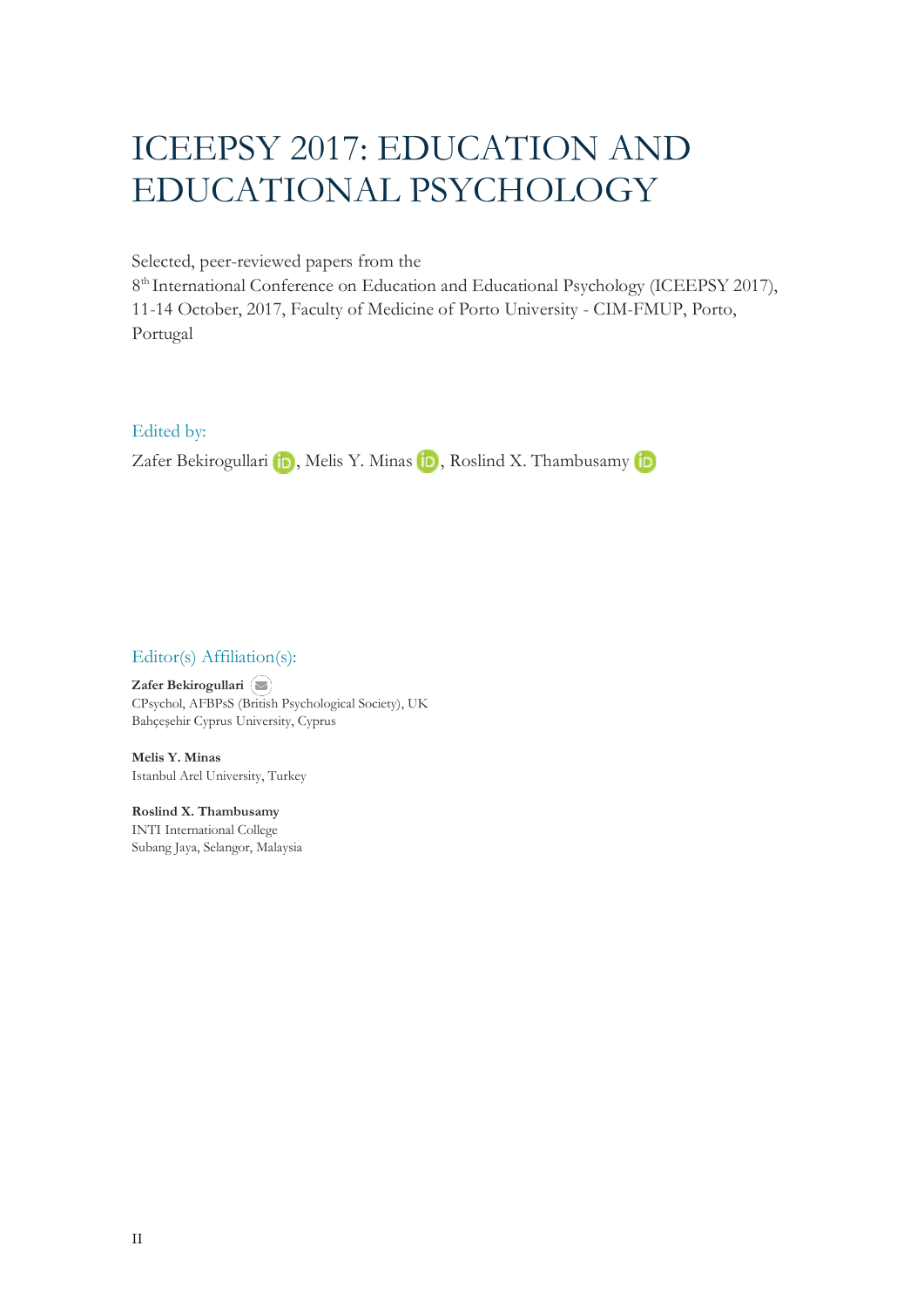# ICEEPSY 2017: EDUCATION AND EDUCATIONAL PSYCHOLOGY

Selected, peer-reviewed papers from the

8<sup>th</sup> International Conference on Education and Educational Psychology (ICEEPSY 2017), 11-14 October, 2017, Faculty of Medicine of Porto University - CIM-FMUP, Porto, Portugal

Edited by:

ZaferBekirogullari  $\blacksquare$ , Melis Y. Minas  $\blacksquare$ , Roslind X. Thambusamy  $\blacksquare$ 

#### Editor(s) Affiliation(s):

**Zafer Bekirogullari**  CPsychol, AFBPsS ([British](mailto:zafer.bekirogullari@cyprus.bau.edu.tr) Psychological Society), UK Bahçeşehir Cyprus University, Cyprus

**Melis Y. Minas** Istanbul Arel University, Turkey

**Roslind X. Thambusamy**  INTI International College Subang Jaya, Selangor, Malaysia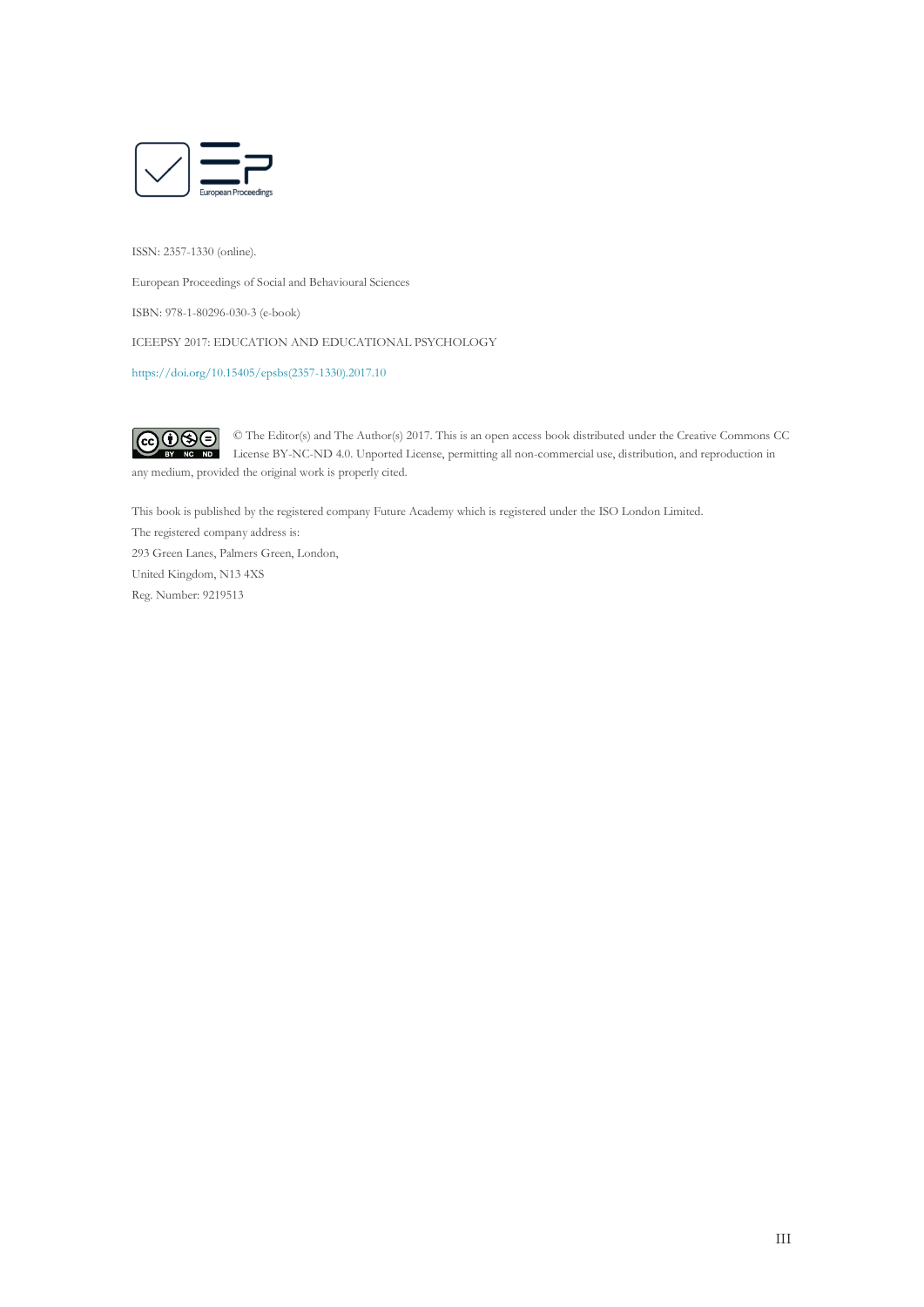

ISSN: 2357-1330 (online).

European Proceedings of Social and Behavioural Sciences

ISBN: 978-1-80296-030-3 (e-book)

ICEEPSY 2017: EDUCATION AND EDUCATIONAL PSYCHOLOGY

[https://doi.org/10.15405/epsbs\(2357-1330\).2017.10](https://doi.org/10.15405/epsbs(2357-1330).2017.10)

 $\bigcirc \mathbf{0} \mathbf{\Theta} \oplus$ © The Editor(s) and The Author(s) 2017. This is an open access book distributed under the Creative Commons CC License BY-NC-ND 4.0. Unported License, permitting all non-commercial use, distribution, and reproduction in any medium, provided the original work is properly cited.

This book is published by the registered company Future Academy which is registered under the ISO London Limited.

The registered company address is: 293 Green Lanes, Palmers Green, London, United Kingdom, N13 4XS Reg. Number: 9219513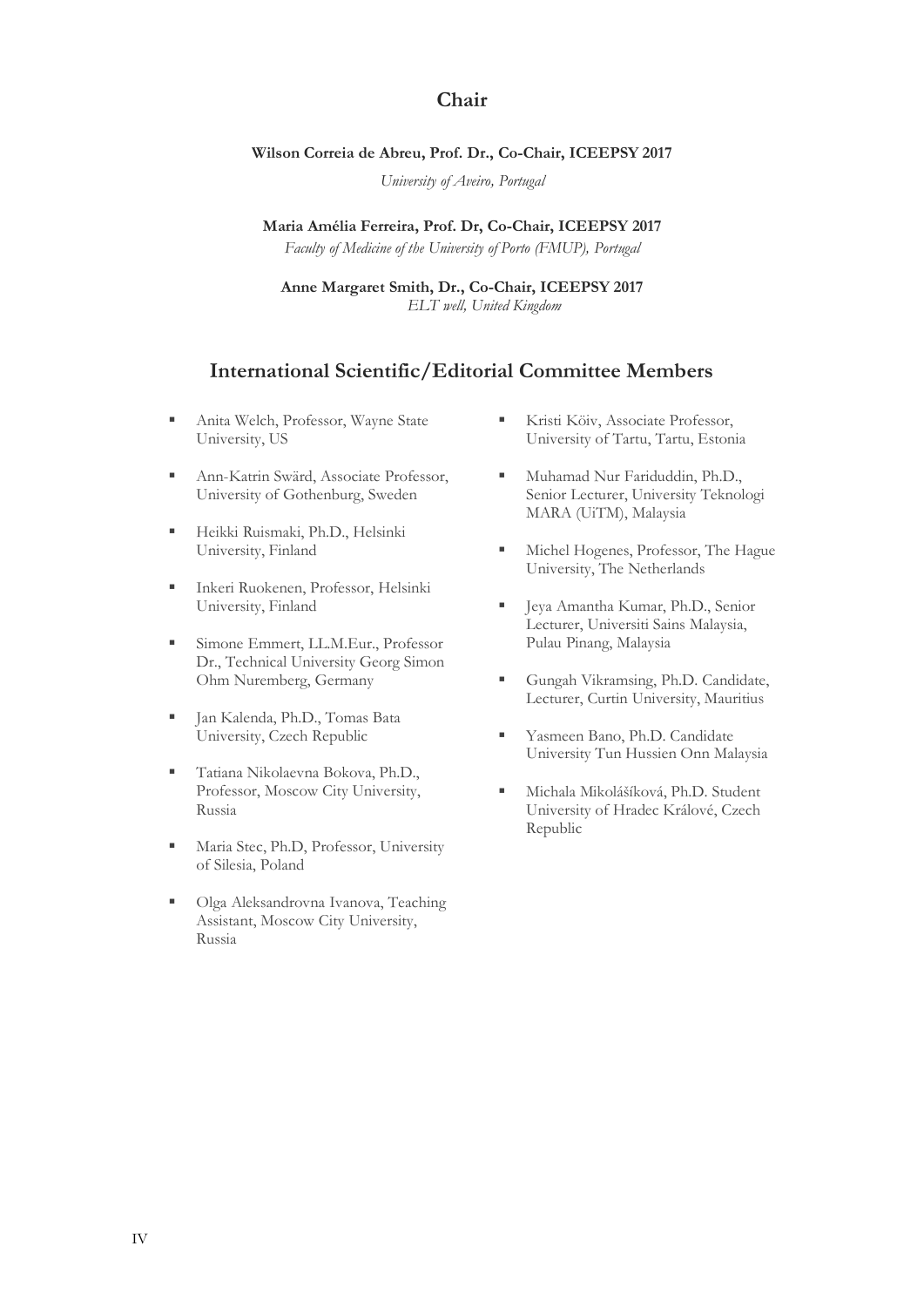#### **Chair**

#### **Wilson Correia de Abreu, Prof. Dr., Co-Chair, ICEEPSY 2017**

*University of Aveiro, Portugal*

**Maria Amélia Ferreira, Prof. Dr, Co-Chair, ICEEPSY 2017** *Faculty of Medicine of the University of Porto (FMUP), Portugal*

**Anne Margaret Smith, Dr., Co-Chair, ICEEPSY 2017** *ELT well, United Kingdom*

#### **International Scientific/Editorial Committee Members**

- **■** Anita Welch, Professor, Wayne State University, US
- Ann-Katrin Swärd, Associate Professor, University of Gothenburg, Sweden
- Heikki Ruismaki, Ph.D., Helsinki University, Finland
- **EXECUTE: Inkeri Ruokenen, Professor, Helsinki** University, Finland
- **Emmert, LL.M.Eur., Professor** Dr., Technical University Georg Simon Ohm Nuremberg, Germany
- Jan Kalenda, Ph.D., Tomas Bata University, Czech Republic
- Tatiana Nikolaevna Bokova, Ph.D., Professor, Moscow City University, Russia
- **Independent Maria Stec, Ph.D, Professor, University** of Silesia, Poland
- Olga Aleksandrovna Ivanova, Teaching Assistant, Moscow City University, Russia
- **EXECUTE:** Kristi Köiv, Associate Professor, University of Tartu, Tartu, Estonia
- **■** Muhamad Nur Fariduddin, Ph.D., Senior Lecturer, University Teknologi MARA (UiTM), Malaysia
- Michel Hogenes, Professor, The Hague University, The Netherlands
- Jeya Amantha Kumar, Ph.D., Senior Lecturer, Universiti Sains Malaysia, Pulau Pinang, Malaysia
- Gungah Vikramsing, Ph.D. Candidate, Lecturer, Curtin University, Mauritius
- **EXECUTE:** Yasmeen Bano, Ph.D. Candidate University Tun Hussien Onn Malaysia
- **· Michala Mikolášíková, Ph.D. Student** University of Hradec Králové, Czech Republic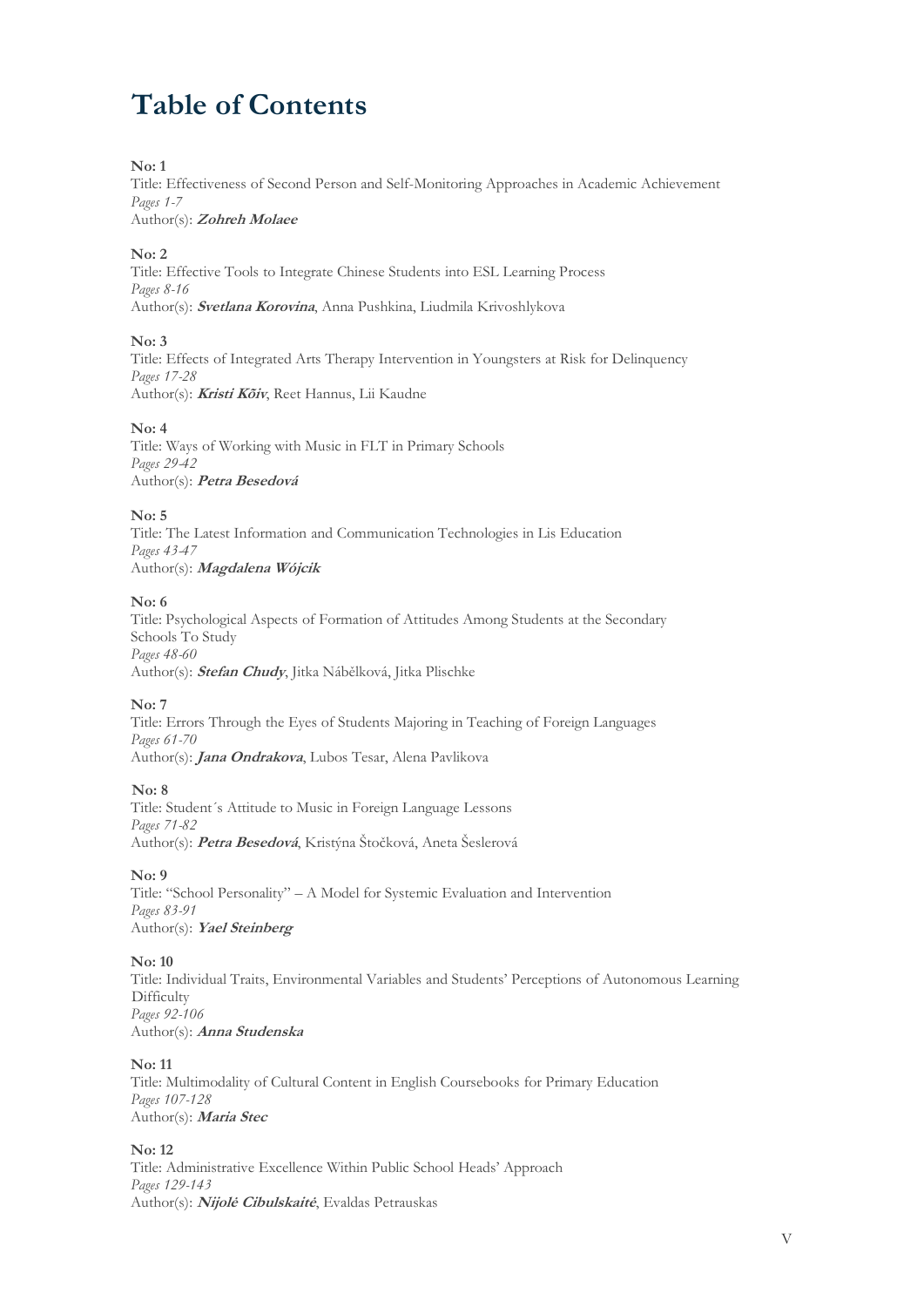## **Table of Contents**

#### **No: 1**

Title: Effectiveness of Second Person and Self-Monitoring Approaches in Academic Achievement *Pages 1-7* 

Author(s): **Zohreh Molaee**

#### **No: 2**

Title: Effective Tools to Integrate Chinese Students into ESL Learning Process *Pages 8-16*  Author(s): **Svetlana Korovina**, Anna Pushkina, Liudmila Krivoshlykova

#### **No: 3**

Title: Effects of Integrated Arts Therapy Intervention in Youngsters at Risk for Delinquency *Pages 17-28*  Author(s): **Kristi Kõiv**, Reet Hannus, Lii Kaudne

#### **No: 4**

Title: Ways of Working with Music in FLT in Primary Schools *Pages 29-42*  Author(s): **Petra Besedová**

#### **No: 5**

Title: The Latest Information and Communication Technologies in Lis Education *Pages 43-47*  Author(s): **Magdalena Wójcik**

#### **No: 6**

Title: Psychological Aspects of Formation of Attitudes Among Students at the Secondary Schools To Study *Pages 48-60*  Author(s): **Stefan Chudy**, Jitka Nábělková, Jitka Plischke

#### **No: 7**

Title: Errors Through the Eyes of Students Majoring in Teaching of Foreign Languages *Pages 61-70*  Author(s): **Jana Ondrakova**, Lubos Tesar, Alena Pavlikova

#### **No: 8**

Title: Student´s Attitude to Music in Foreign Language Lessons *Pages 71-82*  Author(s): **Petra Besedová**, Kristýna Štočková, Aneta Šeslerová

#### **No: 9**

Title: "School Personality" – A Model for Systemic Evaluation and Intervention *Pages 83-91*  Author(s): **Yael Steinberg**

#### **No: 10**

Title: Individual Traits, Environmental Variables and Students' Perceptions of Autonomous Learning **Difficulty** *Pages 92-106*  Author(s): **Anna Studenska**

#### **No: 11**

Title: Multimodality of Cultural Content in English Coursebooks for Primary Education *Pages 107-128* Author(s): **Maria Stec**

#### **No: 12**

Title: Administrative Excellence Within Public School Heads' Approach *Pages 129-143*  Author(s): **Nijolė Cibulskaitė**, Evaldas Petrauskas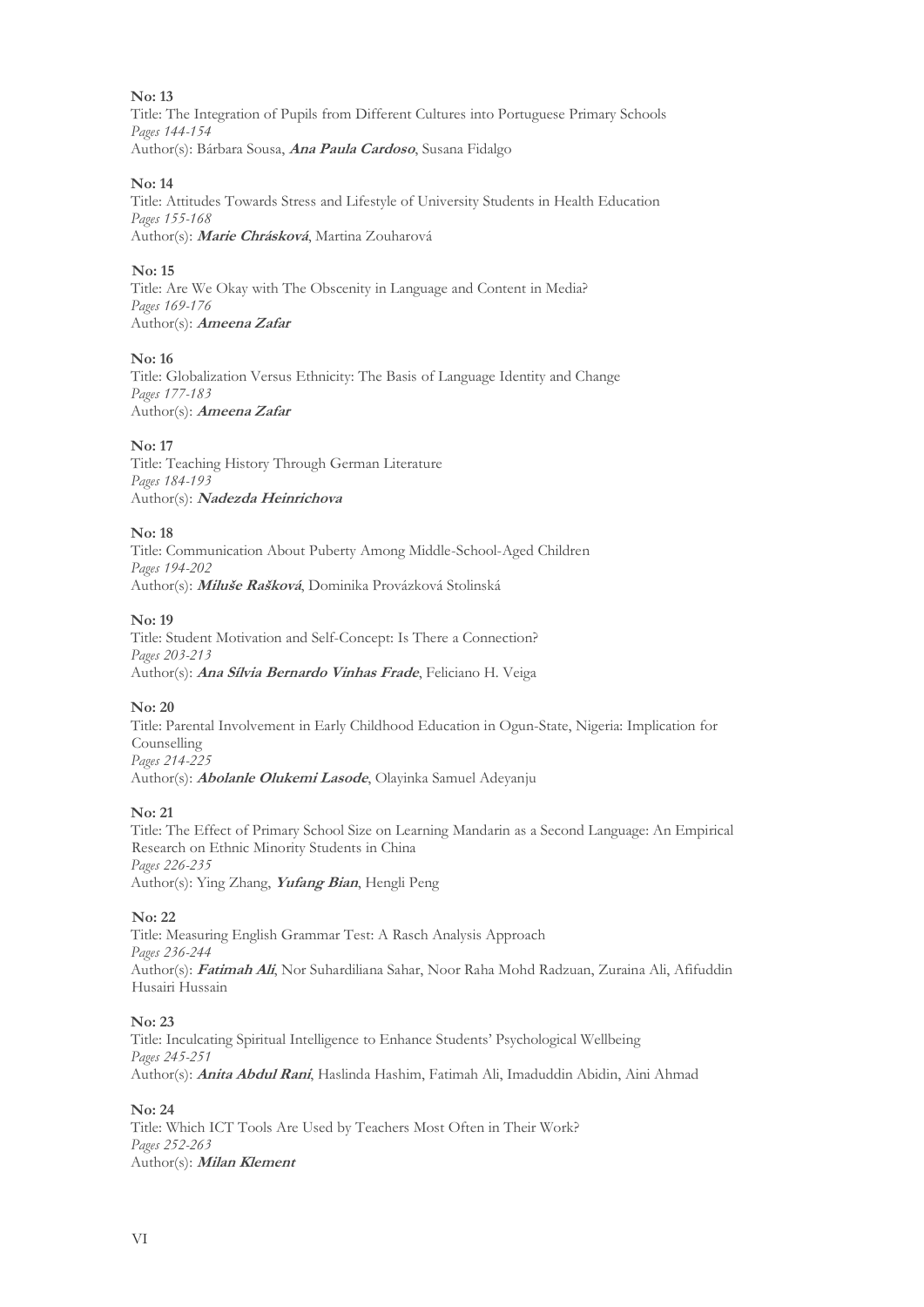Title: The Integration of Pupils from Different Cultures into Portuguese Primary Schools *Pages 144-154*  Author(s): Bárbara Sousa, **Ana Paula Cardoso**, Susana Fidalgo

#### **No: 14**

Title: Attitudes Towards Stress and Lifestyle of University Students in Health Education *Pages 155-168*  Author(s): **Marie Chrásková**, Martina Zouharová

#### **No: 15**

Title: Are We Okay with The Obscenity in Language and Content in Media? *Pages 169-176*  Author(s): **Ameena Zafar**

#### **No: 16**

Title: Globalization Versus Ethnicity: The Basis of Language Identity and Change *Pages 177-183*  Author(s): **Ameena Zafar**

#### **No: 17**

Title: Teaching History Through German Literature *Pages 184-193*  Author(s): **Nadezda Heinrichova**

#### **No: 18**

Title: Communication About Puberty Among Middle-School-Aged Children *Pages 194-202*  Author(s): **Miluše Rašková**, Dominika Provázková Stolinská

#### **No: 19**

Title: Student Motivation and Self-Concept: Is There a Connection? *Pages 203-213*  Author(s): **Ana Sílvia Bernardo Vinhas Frade**, Feliciano H. Veiga

#### **No: 20**

Title: Parental Involvement in Early Childhood Education in Ogun-State, Nigeria: Implication for Counselling *Pages 214-225* 

Author(s): **Abolanle Olukemi Lasode**, Olayinka Samuel Adeyanju

#### **No: 21**

Title: The Effect of Primary School Size on Learning Mandarin as a Second Language: An Empirical Research on Ethnic Minority Students in China *Pages 226-235*  Author(s): Ying Zhang, **Yufang Bian**, Hengli Peng

#### **No: 22**

Title: Measuring English Grammar Test: A Rasch Analysis Approach *Pages 236-244*  Author(s): **Fatimah Ali**, Nor Suhardiliana Sahar, Noor Raha Mohd Radzuan, Zuraina Ali, Afifuddin Husairi Hussain

#### **No: 23**

Title: Inculcating Spiritual Intelligence to Enhance Students' Psychological Wellbeing *Pages 245-251*  Author(s): **Anita Abdul Rani**, Haslinda Hashim, Fatimah Ali, Imaduddin Abidin, Aini Ahmad

#### **No: 24**

Title: Which ICT Tools Are Used by Teachers Most Often in Their Work? *Pages 252-263*  Author(s): **Milan Klement**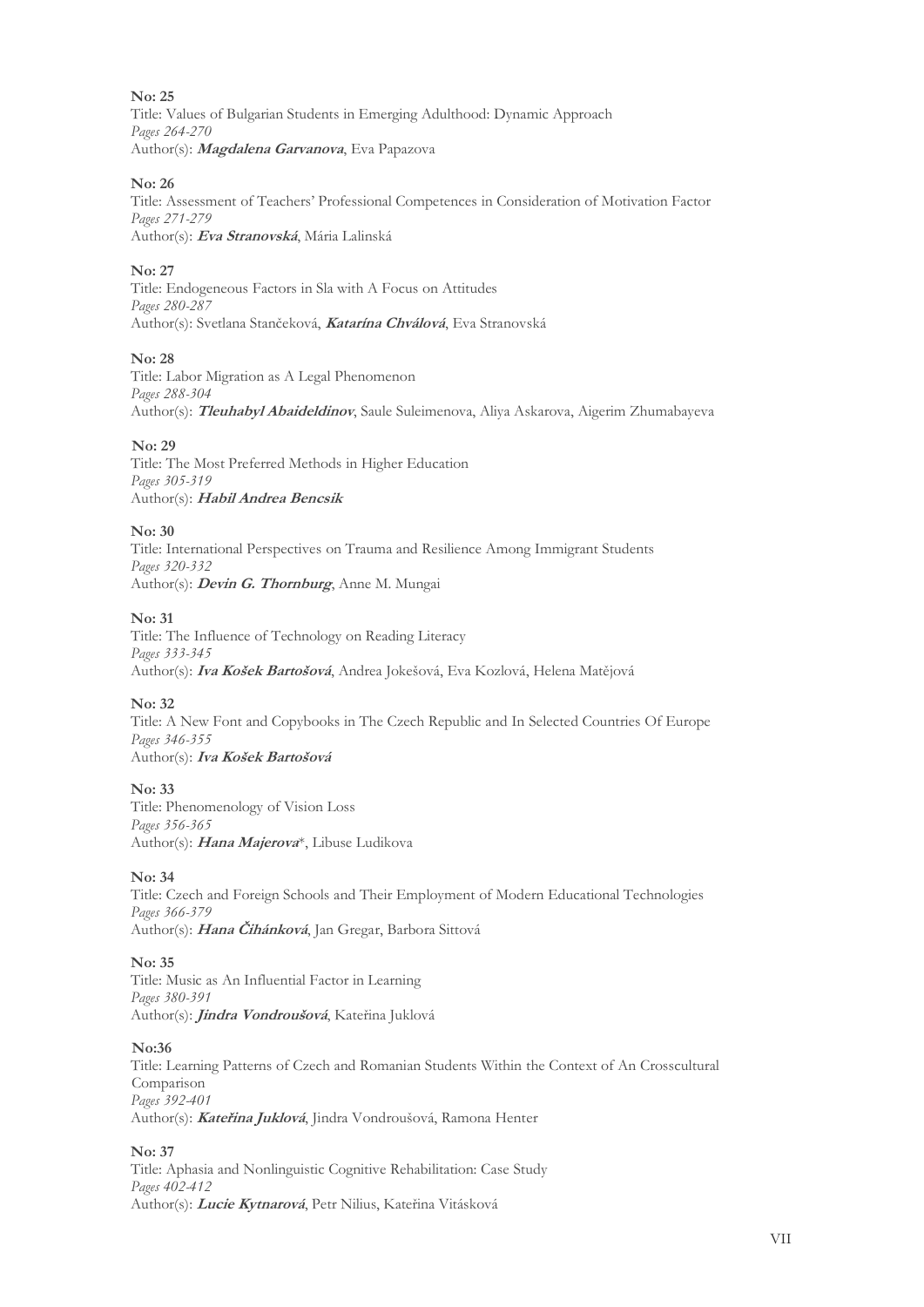Title: Values of Bulgarian Students in Emerging Adulthood: Dynamic Approach *Pages 264-270*  Author(s): **Magdalena Garvanova**, Eva Papazova

#### **No: 26**

Title: Assessment of Teachers' Professional Competences in Consideration of Motivation Factor *Pages 271-279*  Author(s): **Eva Stranovská**, Mária Lalinská

#### **No: 27**

Title: Endogeneous Factors in Sla with A Focus on Attitudes *Pages 280-287*  Author(s): Svetlana Stančeková, **Katarína Chválová**, Eva Stranovská

#### **No: 28**

Title: Labor Migration as A Legal Phenomenon *Pages 288-304*  Author(s): **Tleuhabyl Abaideldinov**, Saule Suleimenova, Aliya Askarova, Aigerim Zhumabayeva

#### **No: 29**

Title: The Most Preferred Methods in Higher Education *Pages 305-319*  Author(s): **Habil Andrea Bencsik**

#### **No: 30**

Title: International Perspectives on Trauma and Resilience Among Immigrant Students *Pages 320-332*  Author(s): **Devin G. Thornburg**, Anne M. Mungai

#### **No: 31**

Title: The Influence of Technology on Reading Literacy *Pages 333-345*  Author(s): **Iva Košek Bartošová**, Andrea Jokešová, Eva Kozlová, Helena Matějová

#### **No: 32**

Title: A New Font and Copybooks in The Czech Republic and In Selected Countries Of Europe *Pages 346-355*  Author(s): **Iva Košek Bartošová**

#### **No: 33**

Title: Phenomenology of Vision Loss *Pages 356-365*  Author(s): **Hana Majerova**\*, Libuse Ludikova

#### **No: 34**

Title: Czech and Foreign Schools and Their Employment of Modern Educational Technologies *Pages 366-379*  Author(s): **Hana Čihánková**, Jan Gregar, Barbora Sittová

#### **No: 35**

Title: Music as An Influential Factor in Learning *Pages 380-391*  Author(s): **Jindra Vondroušová**, Kateřina Juklová

#### **No:36**

Title: Learning Patterns of Czech and Romanian Students Within the Context of An Crosscultural Comparison *Pages 392-401*  Author(s): **Kateřina Juklová**, Jindra Vondroušová, Ramona Henter

#### **No: 37**

Title: Aphasia and Nonlinguistic Cognitive Rehabilitation: Case Study *Pages 402-412*  Author(s): **Lucie Kytnarová**, Petr Nilius, Kateřina Vitásková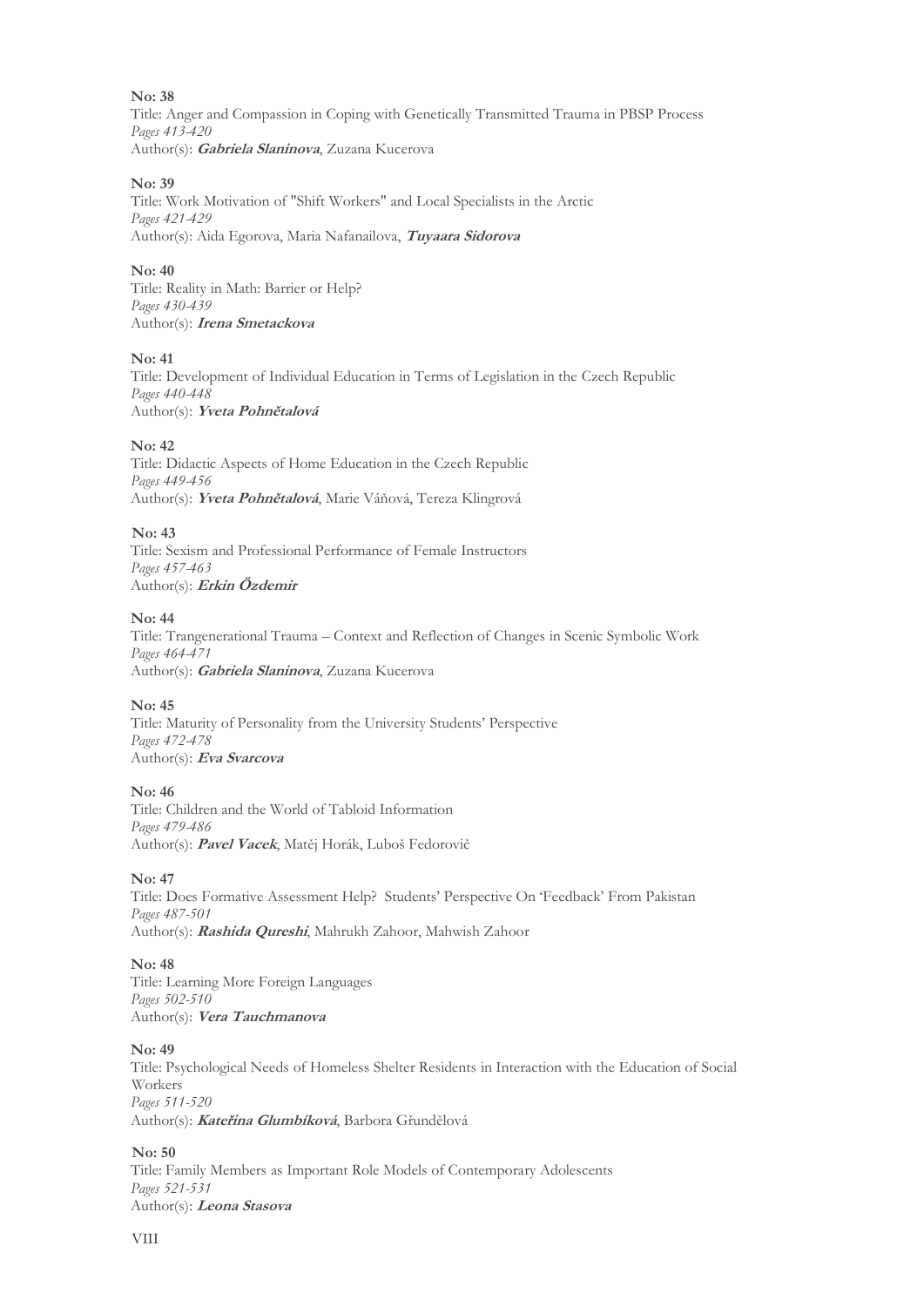Title: Anger and Compassion in Coping with Genetically Transmitted Trauma in PBSP Process *Pages 413-420*  Author(s): **Gabriela Slaninova**, Zuzana Kucerova

#### **No: 39**

Title: Work Motivation of "Shift Workers" and Local Specialists in the Arctic *Pages 421-429*  Author(s): Aida Egorova, Maria Nafanailova, **Tuyaara Sidorova**

#### **No: 40**

Title: Reality in Math: Barrier or Help? *Pages 430-439*  Author(s): **Irena Smetackova**

#### **No: 41**

Title: Development of Individual Education in Terms of Legislation in the Czech Republic *Pages 440-448*  Author(s): **Yveta Pohnětalová**

#### **No: 42**

Title: Didactic Aspects of Home Education in the Czech Republic *Pages 449-456*  Author(s): **Yveta Pohnětalová**, Marie Váňová, Tereza Klingrová

#### **No: 43**

Title: Sexism and Professional Performance of Female Instructors *Pages 457-463*  Author(s): **Erkin Özdemir**

#### **No: 44**

Title: Trangenerational Trauma – Context and Reflection of Changes in Scenic Symbolic Work *Pages 464-471*  Author(s): **Gabriela Slaninova**, Zuzana Kucerova

#### **No: 45**

Title: Maturity of Personality from the University Students' Perspective *Pages 472-478*  Author(s): **Eva Svarcova**

#### **No: 46**

Title: Children and the World of Tabloid Information *Pages 479-486*  Author(s): **Pavel Vacek**, Matěj Horák, Luboš Fedorovič

#### **No: 47**

Title: Does Formative Assessment Help? Students' Perspective On 'Feedback' From Pakistan *Pages 487-501*  Author(s): **Rashida Qureshi**, Mahrukh Zahoor, Mahwish Zahoor

#### **No: 48**

Title: Learning More Foreign Languages *Pages 502-510*  Author(s): **Vera Tauchmanova**

#### **No: 49**

Title: Psychological Needs of Homeless Shelter Residents in Interaction with the Education of Social Workers *Pages 511-520*  Author(s): **Kateřina Glumbíková**, Barbora Gřundělová

#### **No: 50**

Title: Family Members as Important Role Models of Contemporary Adolescents *Pages 521-531*  Author(s): **Leona Stasova**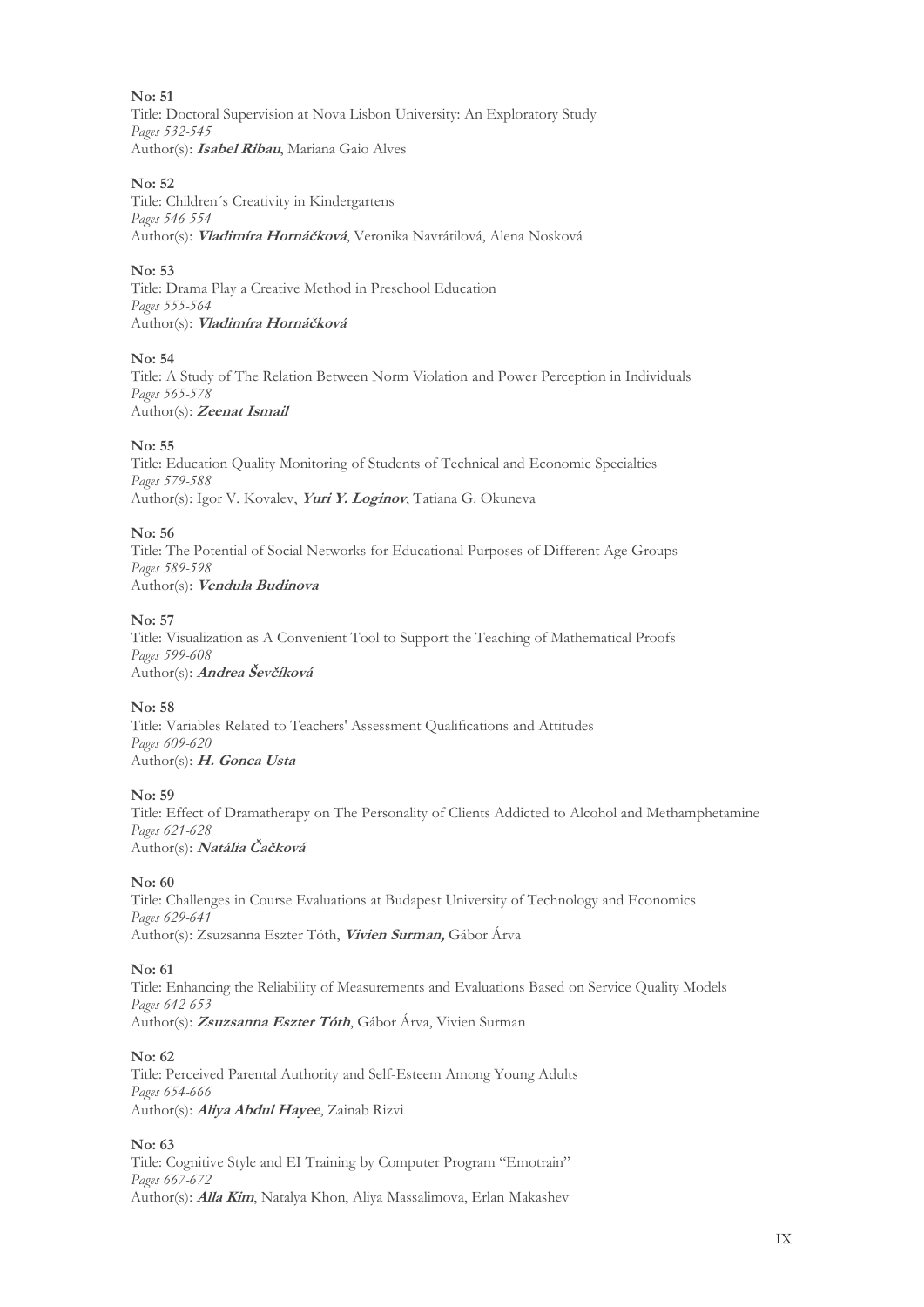**No: 51**  Title: Doctoral Supervision at Nova Lisbon University: An Exploratory Study *Pages 532-545*  Author(s): **Isabel Ribau**, Mariana Gaio Alves

#### **No: 52**

Title: Children´s Creativity in Kindergartens *Pages 546-554*  Author(s): **Vladimíra Hornáčková**, Veronika Navrátilová, Alena Nosková

#### **No: 53**

Title: Drama Play a Creative Method in Preschool Education *Pages 555-564*  Author(s): **Vladimíra Hornáčková**

#### **No: 54**

Title: A Study of The Relation Between Norm Violation and Power Perception in Individuals *Pages 565-578*  Author(s): **Zeenat Ismail**

#### **No: 55**

Title: Education Quality Monitoring of Students of Technical and Economic Specialties *Pages 579-588*  Author(s): Igor V. Kovalev, **Yuri Y. Loginov**, Tatiana G. Okuneva

#### **No: 56**

Title: The Potential of Social Networks for Educational Purposes of Different Age Groups *Pages 589-598*  Author(s): **Vendula Budinova**

#### **No: 57**

Title: Visualization as A Convenient Tool to Support the Teaching of Mathematical Proofs *Pages 599-608*  Author(s): **Andrea Ševčíková**

#### **No: 58**

Title: Variables Related to Teachers' Assessment Qualifications and Attitudes *Pages 609-620*  Author(s): **H. Gonca Usta**

#### **No: 59**

Title: Effect of Dramatherapy on The Personality of Clients Addicted to Alcohol and Methamphetamine *Pages 621-628*  Author(s): **Natália Čačková**

#### **No: 60**

Title: Challenges in Course Evaluations at Budapest University of Technology and Economics *Pages 629-641*  Author(s): Zsuzsanna Eszter Tóth, **Vivien Surman,** Gábor Árva

#### **No: 61**

Title: Enhancing the Reliability of Measurements and Evaluations Based on Service Quality Models *Pages 642-653*  Author(s): **Zsuzsanna Eszter Tóth**, Gábor Árva, Vivien Surman

#### **No: 62**

Title: Perceived Parental Authority and Self-Esteem Among Young Adults *Pages 654-666*  Author(s): **Aliya Abdul Hayee**, Zainab Rizvi

#### **No: 63**

Title: Cognitive Style and EI Training by Computer Program "Emotrain" *Pages 667-672*  Author(s): **Alla Kim**, Natalya Khon, Aliya Massalimova, Erlan Makashev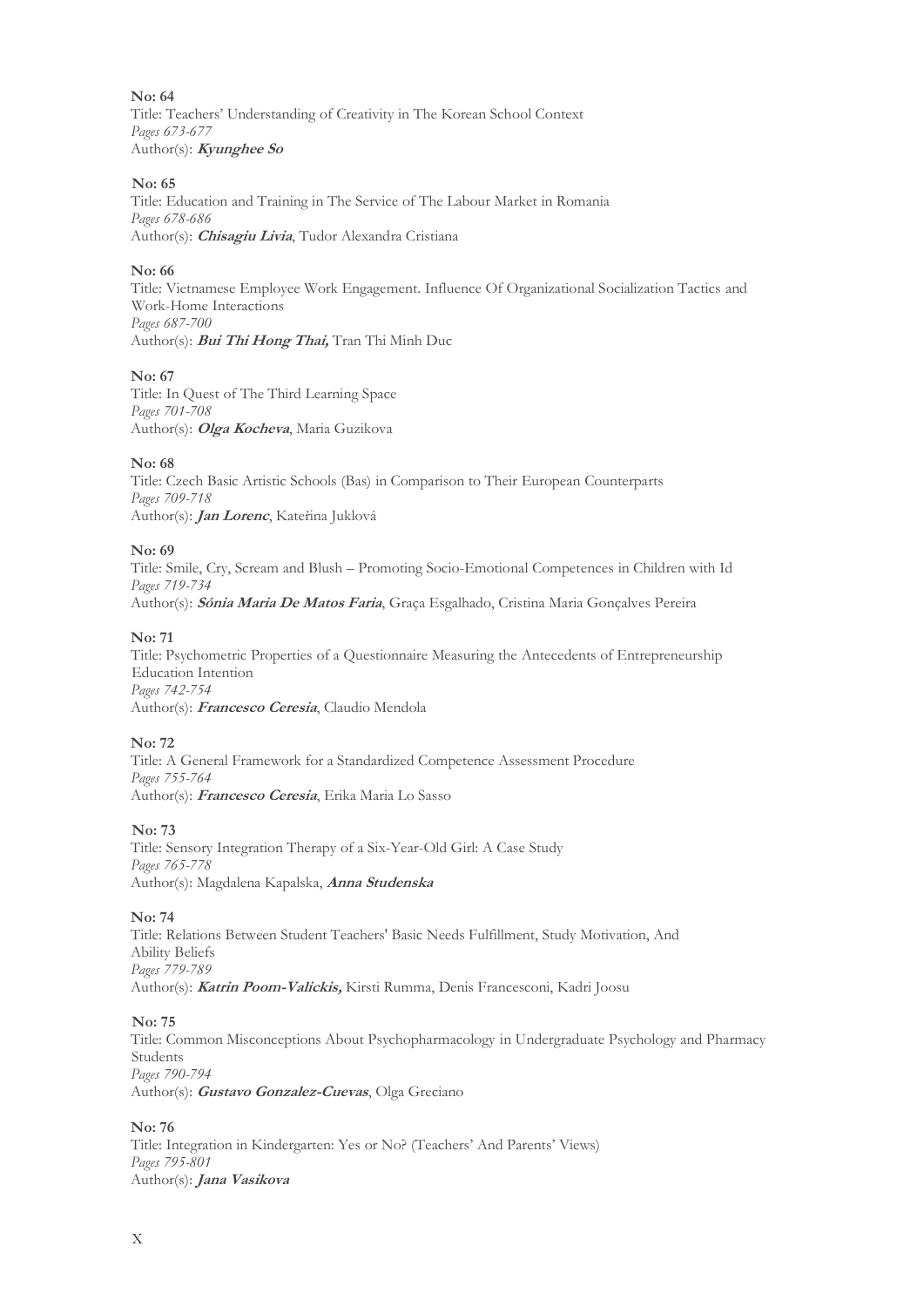**No: 64**  Title: Teachers' Understanding of Creativity in The Korean School Context *Pages 673-677*  Author(s): **Kyunghee So**

#### **No: 65**

Title: Education and Training in The Service of The Labour Market in Romania *Pages 678-686*  Author(s): **Chisagiu Livia**, Tudor Alexandra Cristiana

#### **No: 66**

Title: Vietnamese Employee Work Engagement. Influence Of Organizational Socialization Tactics and Work-Home Interactions *Pages 687-700*  Author(s): **Bui Thi Hong Thai,** Tran Thi Minh Duc

#### **No: 67**

Title: In Quest of The Third Learning Space *Pages 701-708*  Author(s): **Olga Kocheva**, Maria Guzikova

#### **No: 68**

Title: Czech Basic Artistic Schools (Bas) in Comparison to Their European Counterparts *Pages 709-718*  Author(s): **Jan Lorenc**, Kateřina Juklová

#### **No: 69**

Title: Smile, Cry, Scream and Blush – Promoting Socio-Emotional Competences in Children with Id *Pages 719-734*  Author(s): **Sónia Maria De Matos Faria**, Graça Esgalhado, Cristina Maria Gonçalves Pereira

#### **No: 71**

Title: Psychometric Properties of a Questionnaire Measuring the Antecedents of Entrepreneurship Education Intention *Pages 742-754*  Author(s): **Francesco Ceresia**, Claudio Mendola

#### **No: 72**

Title: A General Framework for a Standardized Competence Assessment Procedure *Pages 755-764*  Author(s): **Francesco Ceresia**, Erika Maria Lo Sasso

#### **No: 73**

Title: Sensory Integration Therapy of a Six-Year-Old Girl: A Case Study *Pages 765-778*  Author(s): Magdalena Kapalska, **Anna Studenska**

#### **No: 74**

Title: Relations Between Student Teachers' Basic Needs Fulfillment, Study Motivation, And Ability Beliefs *Pages 779-789* Author(s): **Katrin Poom-Valickis,** Kirsti Rumma, Denis Francesconi, Kadri Joosu

#### **No: 75**

Title: Common Misconceptions About Psychopharmacology in Undergraduate Psychology and Pharmacy Students *Pages 790-794*  Author(s): **Gustavo Gonzalez-Cuevas**, Olga Greciano

#### **No: 76**

Title: Integration in Kindergarten: Yes or No? (Teachers' And Parents' Views) *Pages 795-801*  Author(s): **Jana Vasikova**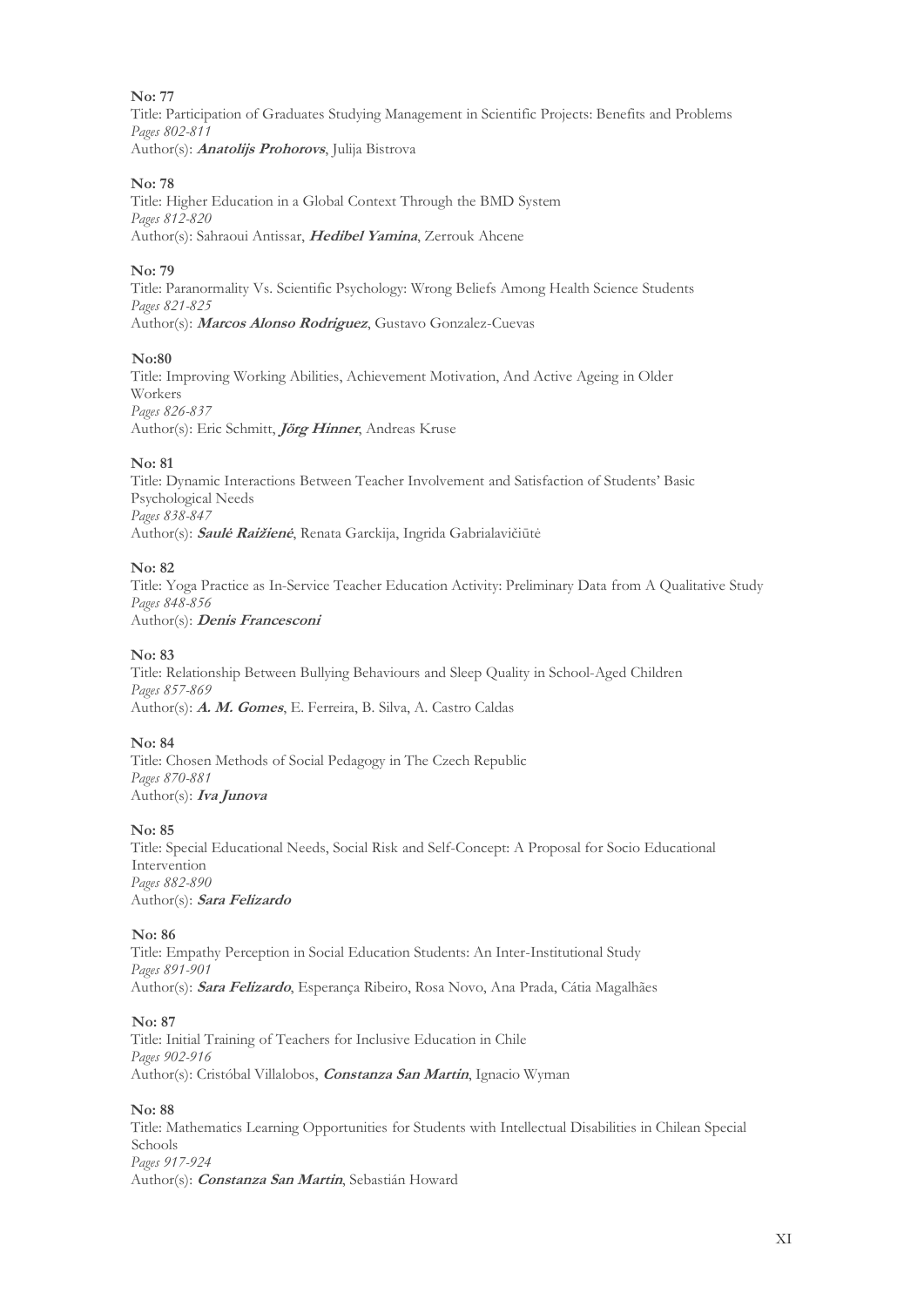Title: Participation of Graduates Studying Management in Scientific Projects: Benefits and Problems *Pages 802-811*  Author(s): **Anatolijs Prohorovs**, Julija Bistrova

#### **No: 78**

Title: Higher Education in a Global Context Through the BMD System *Pages 812-820*  Author(s): Sahraoui Antissar, **Hedibel Yamina**, Zerrouk Ahcene

#### **No: 79**

Title: Paranormality Vs. Scientific Psychology: Wrong Beliefs Among Health Science Students *Pages 821-825*  Author(s): **Marcos Alonso Rodriguez**, Gustavo Gonzalez-Cuevas

#### **No:80**

Title: Improving Working Abilities, Achievement Motivation, And Active Ageing in Older Workers *Pages 826-837*  Author(s): Eric Schmitt, **Jörg Hinner**, Andreas Kruse

#### **No: 81**

Title: Dynamic Interactions Between Teacher Involvement and Satisfaction of Students' Basic Psychological Needs *Pages 838-847*  Author(s): **Saulė Raižienė**, Renata Garckija, Ingrida Gabrialavičiūtė

#### **No: 82**

Title: Yoga Practice as In-Service Teacher Education Activity: Preliminary Data from A Qualitative Study *Pages 848-856*  Author(s): **Denis Francesconi**

#### **No: 83**

Title: Relationship Between Bullying Behaviours and Sleep Quality in School-Aged Children *Pages 857-869*  Author(s): **A. M. Gomes**, E. Ferreira, B. Silva, A. Castro Caldas

#### **No: 84**

Title: Chosen Methods of Social Pedagogy in The Czech Republic *Pages 870-881* Author(s): **Iva Junova**

#### **No: 85**

Title: Special Educational Needs, Social Risk and Self-Concept: A Proposal for Socio Educational Intervention *Pages 882-890*  Author(s): **Sara Felizardo**

#### **No: 86**

Title: Empathy Perception in Social Education Students: An Inter-Institutional Study *Pages 891-901*  Author(s): **Sara Felizardo**, Esperança Ribeiro, Rosa Novo, Ana Prada, Cátia Magalhães

#### **No: 87**

Title: Initial Training of Teachers for Inclusive Education in Chile *Pages 902-916*  Author(s): Cristóbal Villalobos, **Constanza San Martin**, Ignacio Wyman

#### **No: 88**

Title: Mathematics Learning Opportunities for Students with Intellectual Disabilities in Chilean Special Schools *Pages 917-924*  Author(s): **Constanza San Martin**, Sebastián Howard